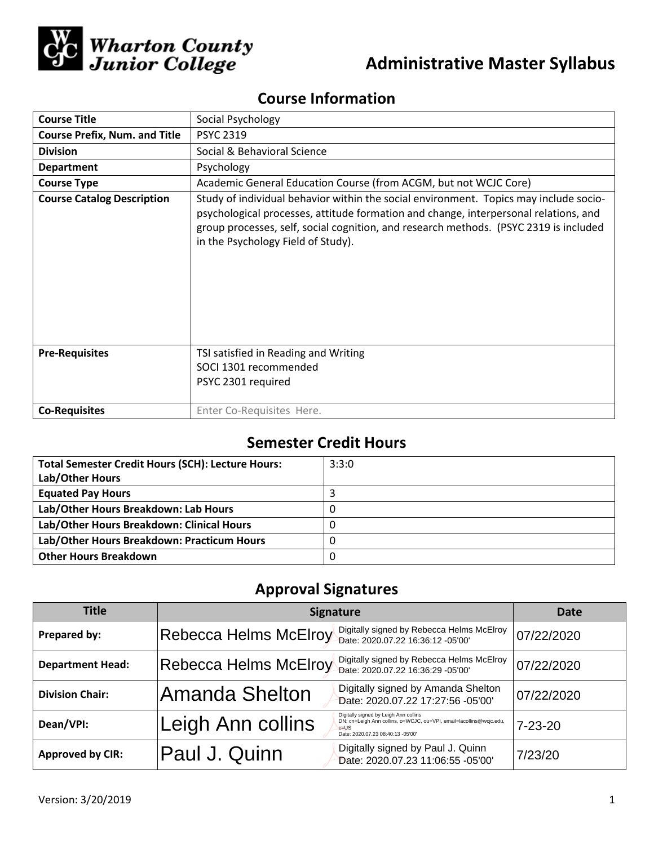

# **Administrative Master Syllabus**

## **Course Information**

| <b>Course Title</b>                  | Social Psychology                                                                                                                                                                                                                                                                                            |  |  |  |
|--------------------------------------|--------------------------------------------------------------------------------------------------------------------------------------------------------------------------------------------------------------------------------------------------------------------------------------------------------------|--|--|--|
| <b>Course Prefix, Num. and Title</b> | <b>PSYC 2319</b>                                                                                                                                                                                                                                                                                             |  |  |  |
| <b>Division</b>                      | Social & Behavioral Science                                                                                                                                                                                                                                                                                  |  |  |  |
| <b>Department</b>                    | Psychology                                                                                                                                                                                                                                                                                                   |  |  |  |
| <b>Course Type</b>                   | Academic General Education Course (from ACGM, but not WCJC Core)                                                                                                                                                                                                                                             |  |  |  |
| <b>Course Catalog Description</b>    | Study of individual behavior within the social environment. Topics may include socio-<br>psychological processes, attitude formation and change, interpersonal relations, and<br>group processes, self, social cognition, and research methods. (PSYC 2319 is included<br>in the Psychology Field of Study). |  |  |  |
| <b>Pre-Requisites</b>                | TSI satisfied in Reading and Writing<br>SOCI 1301 recommended<br>PSYC 2301 required                                                                                                                                                                                                                          |  |  |  |
| <b>Co-Requisites</b>                 | Enter Co-Requisites Here.                                                                                                                                                                                                                                                                                    |  |  |  |

## **Semester Credit Hours**

| <b>Total Semester Credit Hours (SCH): Lecture Hours:</b><br>Lab/Other Hours | 3:3:0 |
|-----------------------------------------------------------------------------|-------|
| <b>Equated Pay Hours</b>                                                    |       |
| Lab/Other Hours Breakdown: Lab Hours                                        |       |
| Lab/Other Hours Breakdown: Clinical Hours                                   |       |
| Lab/Other Hours Breakdown: Practicum Hours                                  |       |
| <b>Other Hours Breakdown</b>                                                |       |

## **Approval Signatures**

| <b>Title</b>            | <b>Signature</b>             | Date                                                                                                                                                          |               |
|-------------------------|------------------------------|---------------------------------------------------------------------------------------------------------------------------------------------------------------|---------------|
| Prepared by:            | <b>Rebecca Helms McElroy</b> | Digitally signed by Rebecca Helms McElroy<br>Date: 2020.07.22 16:36:12 -05'00'                                                                                | 07/22/2020    |
| <b>Department Head:</b> | <b>Rebecca Helms McElroy</b> | Digitally signed by Rebecca Helms McElroy<br>Date: 2020.07.22 16:36:29 -05'00'                                                                                | 07/22/2020    |
| <b>Division Chair:</b>  | Amanda Shelton               | Digitally signed by Amanda Shelton<br>Date: 2020.07.22 17:27:56 -05'00'                                                                                       | 07/22/2020    |
| Dean/VPI:               | Leigh Ann collins            | Digitally signed by Leigh Ann collins<br>DN: cn=Leigh Ann collins, o=WCJC, ou=VPI, email=lacollins@wcjc.edu,<br>$c = US$<br>Date: 2020.07.23 08:40:13 -05'00' | $7 - 23 - 20$ |
| <b>Approved by CIR:</b> | Paul J. Quinn                | Digitally signed by Paul J. Quinn<br>Date: 2020.07.23 11:06:55 -05'00'                                                                                        | 7/23/20       |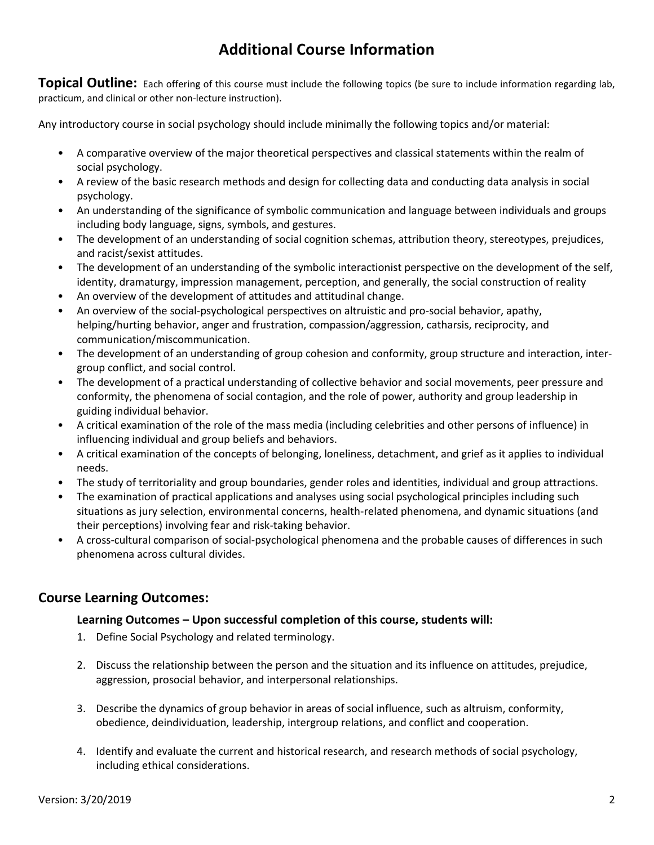## **Additional Course Information**

**Topical Outline:** Each offering of this course must include the following topics (be sure to include information regarding lab, practicum, and clinical or other non-lecture instruction).

Any introductory course in social psychology should include minimally the following topics and/or material:

- A comparative overview of the major theoretical perspectives and classical statements within the realm of social psychology.
- A review of the basic research methods and design for collecting data and conducting data analysis in social psychology.
- An understanding of the significance of symbolic communication and language between individuals and groups including body language, signs, symbols, and gestures.
- The development of an understanding of social cognition schemas, attribution theory, stereotypes, prejudices, and racist/sexist attitudes.
- The development of an understanding of the symbolic interactionist perspective on the development of the self, identity, dramaturgy, impression management, perception, and generally, the social construction of reality
- An overview of the development of attitudes and attitudinal change.
- An overview of the social-psychological perspectives on altruistic and pro-social behavior, apathy, helping/hurting behavior, anger and frustration, compassion/aggression, catharsis, reciprocity, and communication/miscommunication.
- The development of an understanding of group cohesion and conformity, group structure and interaction, intergroup conflict, and social control.
- The development of a practical understanding of collective behavior and social movements, peer pressure and conformity, the phenomena of social contagion, and the role of power, authority and group leadership in guiding individual behavior.
- A critical examination of the role of the mass media (including celebrities and other persons of influence) in influencing individual and group beliefs and behaviors.
- A critical examination of the concepts of belonging, loneliness, detachment, and grief as it applies to individual needs.
- The study of territoriality and group boundaries, gender roles and identities, individual and group attractions.
- The examination of practical applications and analyses using social psychological principles including such situations as jury selection, environmental concerns, health-related phenomena, and dynamic situations (and their perceptions) involving fear and risk-taking behavior.
- A cross-cultural comparison of social-psychological phenomena and the probable causes of differences in such phenomena across cultural divides.

#### **Course Learning Outcomes:**

#### **Learning Outcomes – Upon successful completion of this course, students will:**

- 1. Define Social Psychology and related terminology.
- 2. Discuss the relationship between the person and the situation and its influence on attitudes, prejudice, aggression, prosocial behavior, and interpersonal relationships.
- 3. Describe the dynamics of group behavior in areas of social influence, such as altruism, conformity, obedience, deindividuation, leadership, intergroup relations, and conflict and cooperation.
- 4. Identify and evaluate the current and historical research, and research methods of social psychology, including ethical considerations.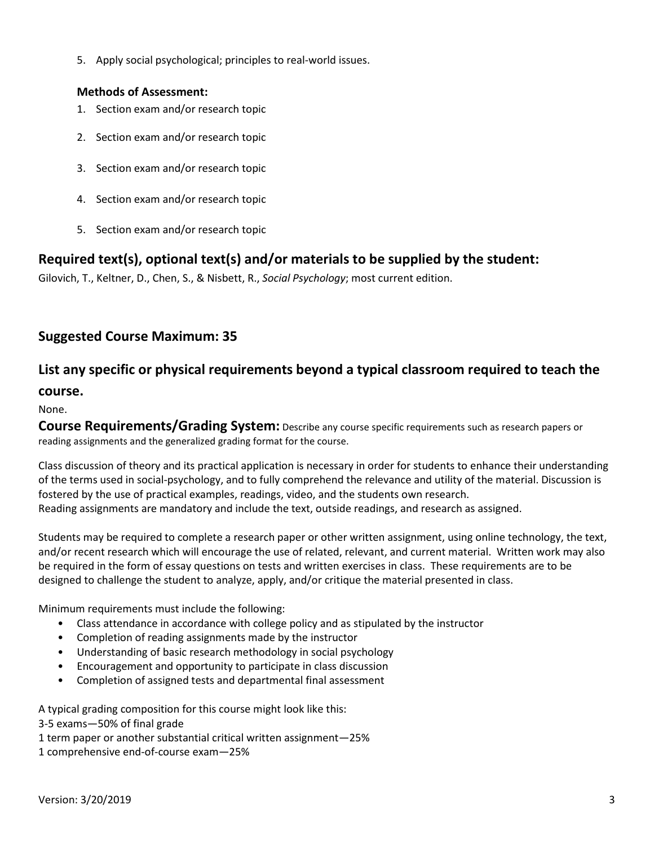5. Apply social psychological; principles to real-world issues.

#### **Methods of Assessment:**

- 1. Section exam and/or research topic
- 2. Section exam and/or research topic
- 3. Section exam and/or research topic
- 4. Section exam and/or research topic
- 5. Section exam and/or research topic

## **Required text(s), optional text(s) and/or materials to be supplied by the student:**

Gilovich, T., Keltner, D., Chen, S., & Nisbett, R., *Social Psychology*; most current edition.

## **Suggested Course Maximum: 35**

## **List any specific or physical requirements beyond a typical classroom required to teach the**

#### **course.**

None.

**Course Requirements/Grading System:** Describe any course specific requirements such as research papers or reading assignments and the generalized grading format for the course.

Class discussion of theory and its practical application is necessary in order for students to enhance their understanding of the terms used in social-psychology, and to fully comprehend the relevance and utility of the material. Discussion is fostered by the use of practical examples, readings, video, and the students own research. Reading assignments are mandatory and include the text, outside readings, and research as assigned.

Students may be required to complete a research paper or other written assignment, using online technology, the text, and/or recent research which will encourage the use of related, relevant, and current material. Written work may also be required in the form of essay questions on tests and written exercises in class. These requirements are to be designed to challenge the student to analyze, apply, and/or critique the material presented in class.

Minimum requirements must include the following:

- Class attendance in accordance with college policy and as stipulated by the instructor
- Completion of reading assignments made by the instructor
- Understanding of basic research methodology in social psychology
- Encouragement and opportunity to participate in class discussion
- Completion of assigned tests and departmental final assessment

A typical grading composition for this course might look like this:

3-5 exams—50% of final grade

1 term paper or another substantial critical written assignment—25%

1 comprehensive end-of-course exam—25%